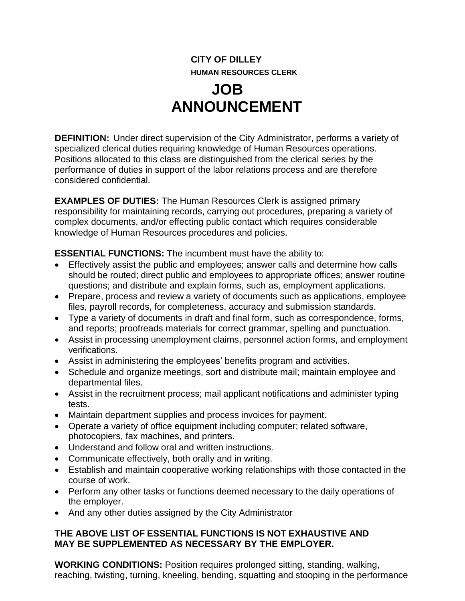## **CITY OF DILLEY HUMAN RESOURCES CLERK**

## **JOB ANNOUNCEMENT**

**DEFINITION:** Under direct supervision of the City Administrator, performs a variety of specialized clerical duties requiring knowledge of Human Resources operations. Positions allocated to this class are distinguished from the clerical series by the performance of duties in support of the labor relations process and are therefore considered confidential.

**EXAMPLES OF DUTIES:** The Human Resources Clerk is assigned primary responsibility for maintaining records, carrying out procedures, preparing a variety of complex documents, and/or effecting public contact which requires considerable knowledge of Human Resources procedures and policies.

**ESSENTIAL FUNCTIONS:** The incumbent must have the ability to:

- Effectively assist the public and employees; answer calls and determine how calls should be routed; direct public and employees to appropriate offices; answer routine questions; and distribute and explain forms, such as, employment applications.
- Prepare, process and review a variety of documents such as applications, employee files, payroll records, for completeness, accuracy and submission standards.
- Type a variety of documents in draft and final form, such as correspondence, forms, and reports; proofreads materials for correct grammar, spelling and punctuation.
- Assist in processing unemployment claims, personnel action forms, and employment verifications.
- Assist in administering the employees' benefits program and activities.
- Schedule and organize meetings, sort and distribute mail; maintain employee and departmental files.
- Assist in the recruitment process; mail applicant notifications and administer typing tests.
- Maintain department supplies and process invoices for payment.
- Operate a variety of office equipment including computer; related software, photocopiers, fax machines, and printers.
- Understand and follow oral and written instructions.
- Communicate effectively, both orally and in writing.
- Establish and maintain cooperative working relationships with those contacted in the course of work.
- Perform any other tasks or functions deemed necessary to the daily operations of the employer.
- And any other duties assigned by the City Administrator

## **THE ABOVE LIST OF ESSENTIAL FUNCTIONS IS NOT EXHAUSTIVE AND MAY BE SUPPLEMENTED AS NECESSARY BY THE EMPLOYER.**

**WORKING CONDITIONS:** Position requires prolonged sitting, standing, walking, reaching, twisting, turning, kneeling, bending, squatting and stooping in the performance